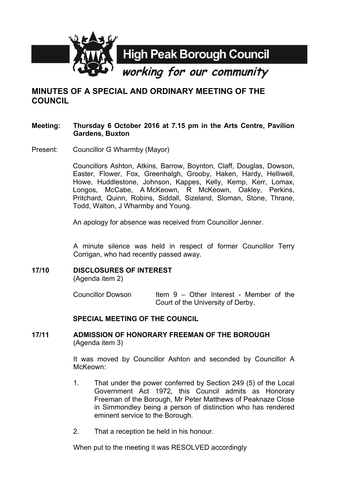

# **MINUTES OF A SPECIAL AND ORDINARY MEETING OF THE COUNCIL**

#### **Meeting: Thursday 6 October 2016 at 7.15 pm in the Arts Centre, Pavilion Gardens, Buxton**

Present: Councillor G Wharmby (Mayor)

Councillors Ashton, Atkins, Barrow, Boynton, Claff, Douglas, Dowson, Easter, Flower, Fox, Greenhalgh, Grooby, Haken, Hardy, Helliwell, Howe, Huddlestone, Johnson, Kappes, Kelly, Kemp, Kerr, Lomax, Longos, McCabe, A McKeown, R McKeown, Oakley, Perkins, Pritchard, Quinn, Robins, Siddall, Sizeland, Sloman, Stone, Thrane, Todd, Walton, J Wharmby and Young.

An apology for absence was received from Councillor Jenner.

A minute silence was held in respect of former Councillor Terry Corrigan, who had recently passed away.

## **17/10 DISCLOSURES OF INTEREST**

(Agenda item 2)

Councillor Dowson Item  $9 -$  Other Interest - Member of the Court of the University of Derby.

## **SPECIAL MEETING OF THE COUNCIL**

**17/11 ADMISSION OF HONORARY FREEMAN OF THE BOROUGH** (Agenda item 3)

> It was moved by Councillor Ashton and seconded by Councillor A McKeown:

- 1. That under the power conferred by Section 249 (5) of the Local Government Act 1972, this Council admits as Honorary Freeman of the Borough, Mr Peter Matthews of Peaknaze Close in Simmondley being a person of distinction who has rendered eminent service to the Borough.
- 2. That a reception be held in his honour.

When put to the meeting it was RESOLVED accordingly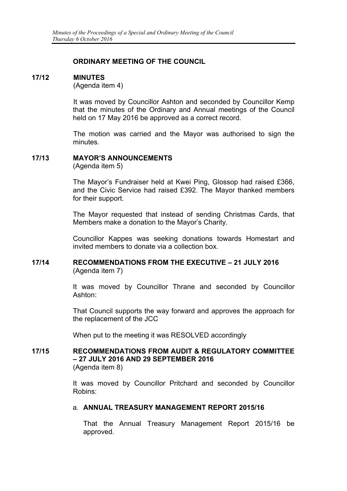### **ORDINARY MEETING OF THE COUNCIL**

#### **17/12 MINUTES**

(Agenda item 4)

It was moved by Councillor Ashton and seconded by Councillor Kemp that the minutes of the Ordinary and Annual meetings of the Council held on 17 May 2016 be approved as a correct record.

The motion was carried and the Mayor was authorised to sign the minutes.

## **17/13 MAYOR'S ANNOUNCEMENTS**

(Agenda item 5)

The Mayor's Fundraiser held at Kwei Ping, Glossop had raised £366, and the Civic Service had raised £392. The Mayor thanked members for their support.

The Mayor requested that instead of sending Christmas Cards, that Members make a donation to the Mayor's Charity.

Councillor Kappes was seeking donations towards Homestart and invited members to donate via a collection box.

#### **17/14 RECOMMENDATIONS FROM THE EXECUTIVE – 21 JULY 2016** (Agenda item 7)

It was moved by Councillor Thrane and seconded by Councillor Ashton:

That Council supports the way forward and approves the approach for the replacement of the JCC

When put to the meeting it was RESOLVED accordingly

#### **17/15 RECOMMENDATIONS FROM AUDIT & REGULATORY COMMITTEE – 27 JULY 2016 AND 29 SEPTEMBER 2016** (Agenda item 8)

It was moved by Councillor Pritchard and seconded by Councillor Robins:

## a. **ANNUAL TREASURY MANAGEMENT REPORT 2015/16**

That the Annual Treasury Management Report 2015/16 be approved.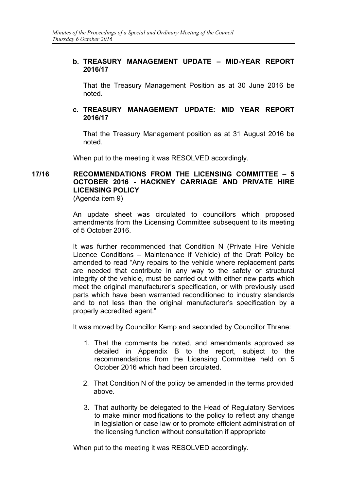## **b. TREASURY MANAGEMENT UPDATE – MID-YEAR REPORT 2016/17**

That the Treasury Management Position as at 30 June 2016 be noted.

### **c. TREASURY MANAGEMENT UPDATE: MID YEAR REPORT 2016/17**

That the Treasury Management position as at 31 August 2016 be noted.

When put to the meeting it was RESOLVED accordingly.

# **17/16 RECOMMENDATIONS FROM THE LICENSING COMMITTEE – 5 OCTOBER 2016 - HACKNEY CARRIAGE AND PRIVATE HIRE LICENSING POLICY**

(Agenda item 9)

An update sheet was circulated to councillors which proposed amendments from the Licensing Committee subsequent to its meeting of 5 October 2016.

It was further recommended that Condition N (Private Hire Vehicle Licence Conditions – Maintenance if Vehicle) of the Draft Policy be amended to read "Any repairs to the vehicle where replacement parts are needed that contribute in any way to the safety or structural integrity of the vehicle, must be carried out with either new parts which meet the original manufacturer's specification, or with previously used parts which have been warranted reconditioned to industry standards and to not less than the original manufacturer's specification by a properly accredited agent."

It was moved by Councillor Kemp and seconded by Councillor Thrane:

- 1. That the comments be noted, and amendments approved as detailed in Appendix B to the report, subject to the recommendations from the Licensing Committee held on 5 October 2016 which had been circulated.
- 2. That Condition N of the policy be amended in the terms provided above.
- 3. That authority be delegated to the Head of Regulatory Services to make minor modifications to the policy to reflect any change in legislation or case law or to promote efficient administration of the licensing function without consultation if appropriate

When put to the meeting it was RESOLVED accordingly.